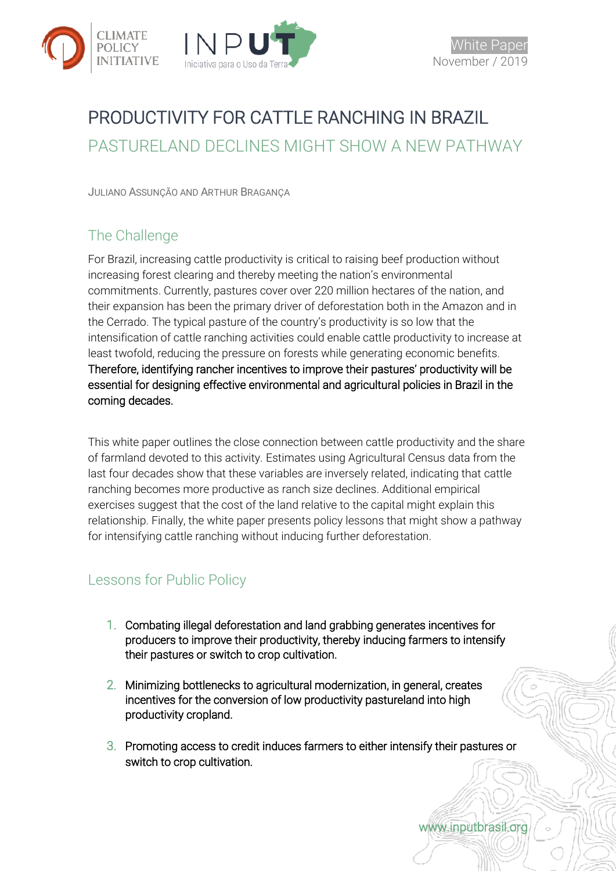

# PRODUCTIVITY FOR CATTLE RANCHING IN BRAZIL PASTURELAND DECLINES MIGHT SHOW A NEW PATHWAY

JULIANO ASSUNÇÃO AND ARTHUR BRAGANÇA

# The Challenge

For Brazil, increasing cattle productivity is critical to raising beef production without increasing forest clearing and thereby meeting the nation's environmental commitments. Currently, pastures cover over 220 million hectares of the nation, and their expansion has been the primary driver of deforestation both in the Amazon and in the Cerrado. The typical pasture of the country's productivity is so low that the intensification of cattle ranching activities could enable cattle productivity to increase at least twofold, reducing the pressure on forests while generating economic benefits. Therefore, identifying rancher incentives to improve their pastures' productivity will be essential for designing effective environmental and agricultural policies in Brazil in the coming decades.

This white paper outlines the close connection between cattle productivity and the share of farmland devoted to this activity. Estimates using Agricultural Census data from the last four decades show that these variables are inversely related, indicating that cattle ranching becomes more productive as ranch size declines. Additional empirical exercises suggest that the cost of the land relative to the capital might explain this relationship. Finally, the white paper presents policy lessons that might show a pathway for intensifying cattle ranching without inducing further deforestation.

# Lessons for Public Policy

- 1. Combating illegal deforestation and land grabbing generates incentives for producers to improve their productivity, thereby inducing farmers to intensify their pastures or switch to crop cultivation.
- 2. Minimizing bottlenecks to agricultural modernization, in general, creates incentives for the conversion of low productivity pastureland into high productivity cropland.
- 3. Promoting access to credit induces farmers to either intensify their pastures or switch to crop cultivation.

www.inputbrasil.org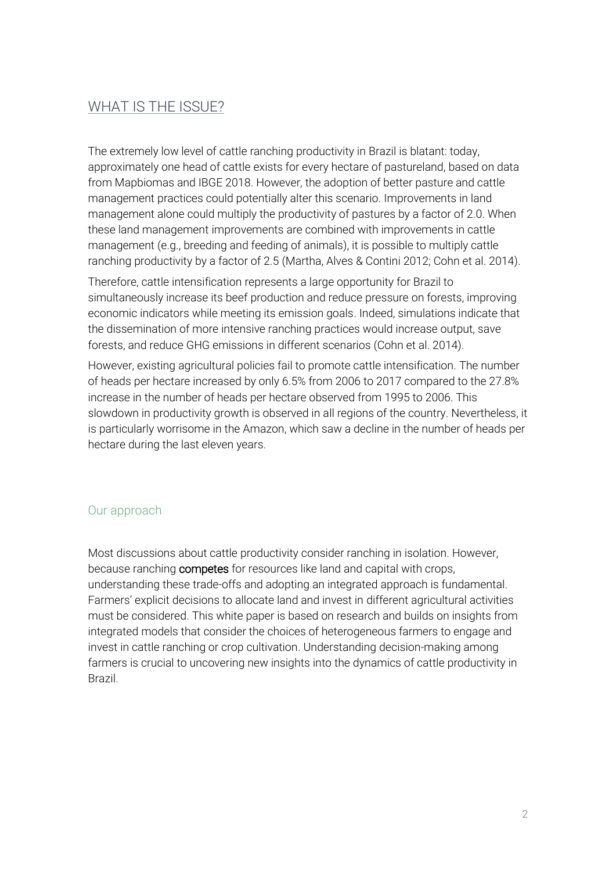### WHAT IS THE ISSUE?

The extremely low level of cattle ranching productivity in Brazil is blatant: today, approximately one head of cattle exists for every hectare of pastureland, based on data from Mapbiomas and IBGE 2018. However, the adoption of better pasture and cattle management practices could potentially alter this scenario. Improvements in land management alone could multiply the productivity of pastures by a factor of 2.0. When these land management improvements are combined with improvements in cattle management (e.g., breeding and feeding of animals), it is possible to multiply cattle ranching productivity by a factor of 2.5 (Martha, Alves & Contini 2012; Cohn et al. 2014).

Therefore, cattle intensification represents a large opportunity for Brazil to simultaneously increase its beef production and reduce pressure on forests, improving economic indicators while meeting its emission goals. Indeed, simulations indicate that the dissemination of more intensive ranching practices would increase output, save forests, and reduce GHG emissions in different scenarios (Cohn et al. 2014).

However, existing agricultural policies fail to promote cattle intensification. The number of heads per hectare increased by only 6.5% from 2006 to 2017 compared to the 27.8% increase in the number of heads per hectare observed from 1995 to 2006. This slowdown in productivity growth is observed in all regions of the country. Nevertheless, it is particularly worrisome in the Amazon, which saw a decline in the number of heads per hectare during the last eleven years.

### Our approach

Most discussions about cattle productivity consider ranching in isolation. However, because ranching **competes** for resources like land and capital with crops, understanding these trade-offs and adopting an integrated approach is fundamental. Farmers' explicit decisions to allocate land and invest in different agricultural activities must be considered. This white paper is based on research and builds on insights from integrated models that consider the choices of heterogeneous farmers to engage and invest in cattle ranching or crop cultivation. Understanding decision-making among farmers is crucial to uncovering new insights into the dynamics of cattle productivity in Brazil.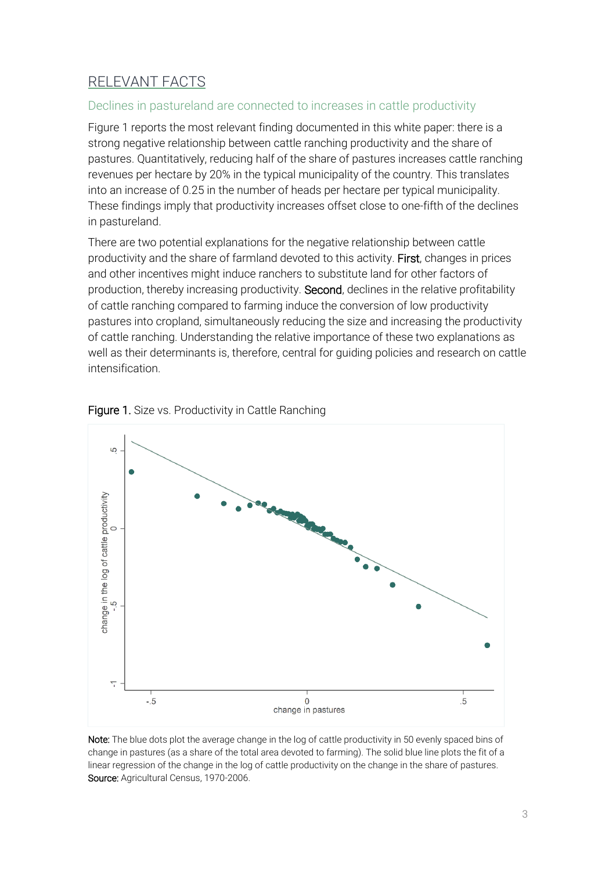## RELEVANT FACTS

#### Declines in pastureland are connected to increases in cattle productivity

Figure 1 reports the most relevant finding documented in this white paper: there is a strong negative relationship between cattle ranching productivity and the share of pastures. Quantitatively, reducing half of the share of pastures increases cattle ranching revenues per hectare by 20% in the typical municipality of the country. This translates into an increase of 0.25 in the number of heads per hectare per typical municipality. These findings imply that productivity increases offset close to one-fifth of the declines in pastureland.

There are two potential explanations for the negative relationship between cattle productivity and the share of farmland devoted to this activity. First, changes in prices and other incentives might induce ranchers to substitute land for other factors of production, thereby increasing productivity. Second, declines in the relative profitability of cattle ranching compared to farming induce the conversion of low productivity pastures into cropland, simultaneously reducing the size and increasing the productivity of cattle ranching. Understanding the relative importance of these two explanations as well as their determinants is, therefore, central for guiding policies and research on cattle intensification.





Note: The blue dots plot the average change in the log of cattle productivity in 50 evenly spaced bins of change in pastures (as a share of the total area devoted to farming). The solid blue line plots the fit of a linear regression of the change in the log of cattle productivity on the change in the share of pastures. Source: Agricultural Census, 1970-2006.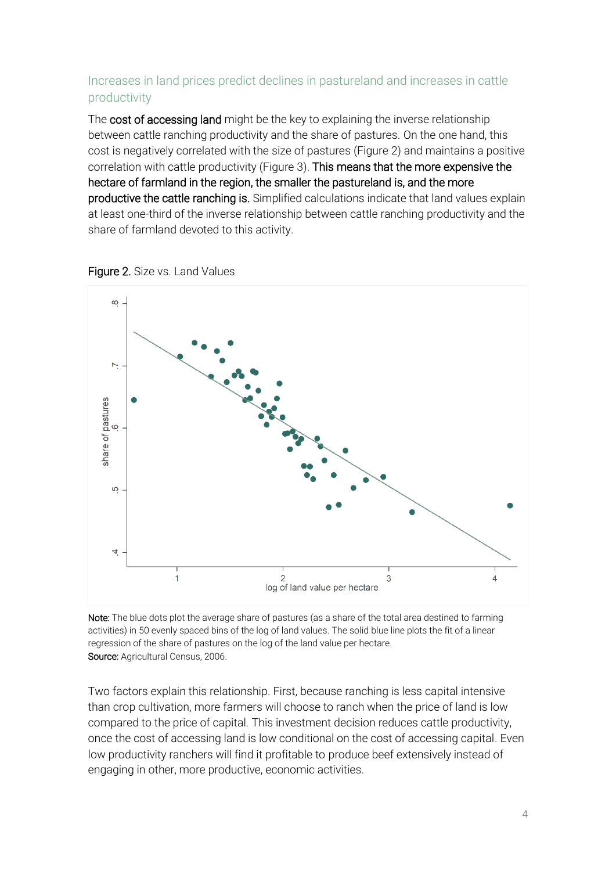### Increases in land prices predict declines in pastureland and increases in cattle productivity

The cost of accessing land might be the key to explaining the inverse relationship between cattle ranching productivity and the share of pastures. On the one hand, this cost is negatively correlated with the size of pastures (Figure 2) and maintains a positive correlation with cattle productivity (Figure 3). This means that the more expensive the hectare of farmland in the region, the smaller the pastureland is, and the more productive the cattle ranching is. Simplified calculations indicate that land values explain at least one-third of the inverse relationship between cattle ranching productivity and the share of farmland devoted to this activity.



Figure 2. Size vs. Land Values

Note: The blue dots plot the average share of pastures (as a share of the total area destined to farming activities) in 50 evenly spaced bins of the log of land values. The solid blue line plots the fit of a linear regression of the share of pastures on the log of the land value per hectare. Source: Agricultural Census, 2006.

Two factors explain this relationship. First, because ranching is less capital intensive than crop cultivation, more farmers will choose to ranch when the price of land is low compared to the price of capital. This investment decision reduces cattle productivity, once the cost of accessing land is low conditional on the cost of accessing capital. Even low productivity ranchers will find it profitable to produce beef extensively instead of engaging in other, more productive, economic activities.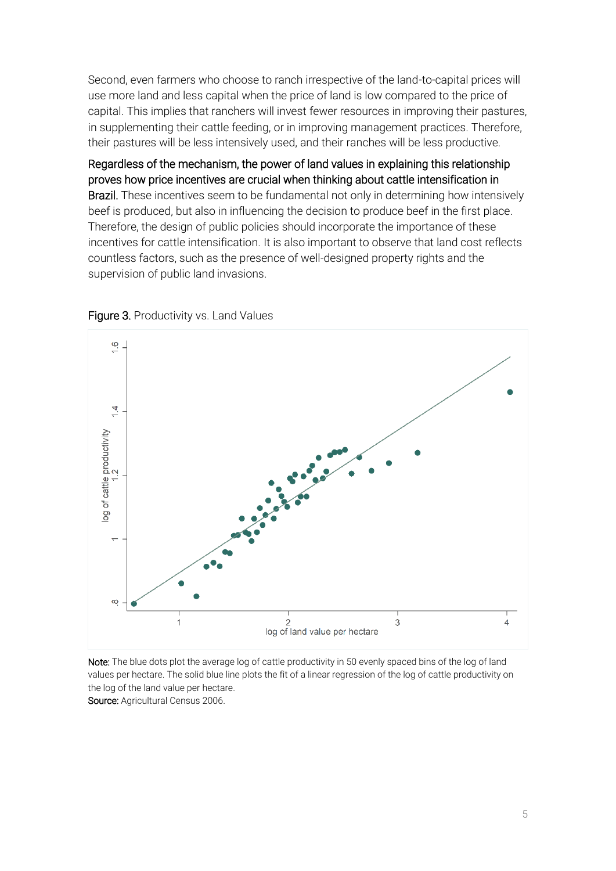Second, even farmers who choose to ranch irrespective of the land-to-capital prices will use more land and less capital when the price of land is low compared to the price of capital. This implies that ranchers will invest fewer resources in improving their pastures, in supplementing their cattle feeding, or in improving management practices. Therefore, their pastures will be less intensively used, and their ranches will be less productive.

Regardless of the mechanism, the power of land values in explaining this relationship proves how price incentives are crucial when thinking about cattle intensification in Brazil. These incentives seem to be fundamental not only in determining how intensively beef is produced, but also in influencing the decision to produce beef in the first place. Therefore, the design of public policies should incorporate the importance of these incentives for cattle intensification. It is also important to observe that land cost reflects countless factors, such as the presence of well-designed property rights and the supervision of public land invasions.





Note: The blue dots plot the average log of cattle productivity in 50 evenly spaced bins of the log of land values per hectare. The solid blue line plots the fit of a linear regression of the log of cattle productivity on the log of the land value per hectare. Source: Agricultural Census 2006.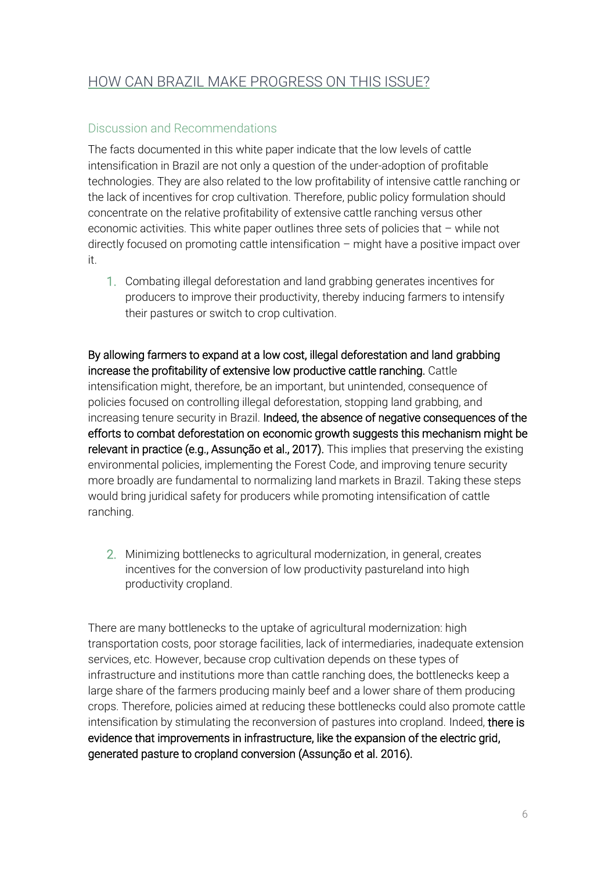## HOW CAN BRAZIL MAKE PROGRESS ON THIS ISSUE?

#### Discussion and Recommendations

The facts documented in this white paper indicate that the low levels of cattle intensification in Brazil are not only a question of the under-adoption of profitable technologies. They are also related to the low profitability of intensive cattle ranching or the lack of incentives for crop cultivation. Therefore, public policy formulation should concentrate on the relative profitability of extensive cattle ranching versus other economic activities. This white paper outlines three sets of policies that – while not directly focused on promoting cattle intensification – might have a positive impact over it.

1. Combating illegal deforestation and land grabbing generates incentives for producers to improve their productivity, thereby inducing farmers to intensify their pastures or switch to crop cultivation.

By allowing farmers to expand at a low cost, illegal deforestation and land grabbing increase the profitability of extensive low productive cattle ranching. Cattle intensification might, therefore, be an important, but unintended, consequence of policies focused on controlling illegal deforestation, stopping land grabbing, and increasing tenure security in Brazil. Indeed, the absence of negative consequences of the efforts to combat deforestation on economic growth suggests this mechanism might be relevant in practice (e.g., Assunção et al., 2017). This implies that preserving the existing environmental policies, implementing the Forest Code, and improving tenure security more broadly are fundamental to normalizing land markets in Brazil. Taking these steps would bring juridical safety for producers while promoting intensification of cattle ranching.

2. Minimizing bottlenecks to agricultural modernization, in general, creates incentives for the conversion of low productivity pastureland into high productivity cropland.

There are many bottlenecks to the uptake of agricultural modernization: high transportation costs, poor storage facilities, lack of intermediaries, inadequate extension services, etc. However, because crop cultivation depends on these types of infrastructure and institutions more than cattle ranching does, the bottlenecks keep a large share of the farmers producing mainly beef and a lower share of them producing crops. Therefore, policies aimed at reducing these bottlenecks could also promote cattle intensification by stimulating the reconversion of pastures into cropland. Indeed, there is evidence that improvements in infrastructure, like the expansion of the electric grid, generated pasture to cropland conversion (Assunção et al. 2016).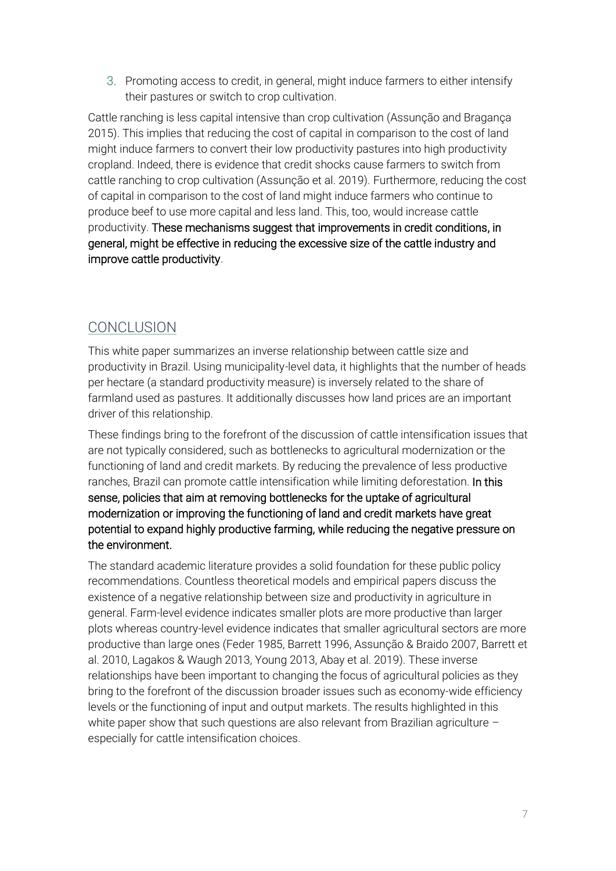3. Promoting access to credit, in general, might induce farmers to either intensify their pastures or switch to crop cultivation.

Cattle ranching is less capital intensive than crop cultivation (Assunção and Bragança 2015). This implies that reducing the cost of capital in comparison to the cost of land might induce farmers to convert their low productivity pastures into high productivity cropland. Indeed, there is evidence that credit shocks cause farmers to switch from cattle ranching to crop cultivation (Assunção et al. 2019). Furthermore, reducing the cost of capital in comparison to the cost of land might induce farmers who continue to produce beef to use more capital and less land. This, too, would increase cattle productivity. These mechanisms suggest that improvements in credit conditions, in general, might be effective in reducing the excessive size of the cattle industry and improve cattle productivity.

### **CONCLUSION**

This white paper summarizes an inverse relationship between cattle size and productivity in Brazil. Using municipality-level data, it highlights that the number of heads per hectare (a standard productivity measure) is inversely related to the share of farmland used as pastures. It additionally discusses how land prices are an important driver of this relationship.

These findings bring to the forefront of the discussion of cattle intensification issues that are not typically considered, such as bottlenecks to agricultural modernization or the functioning of land and credit markets. By reducing the prevalence of less productive ranches, Brazil can promote cattle intensification while limiting deforestation. In this sense, policies that aim at removing bottlenecks for the uptake of agricultural modernization or improving the functioning of land and credit markets have great potential to expand highly productive farming, while reducing the negative pressure on the environment.

The standard academic literature provides a solid foundation for these public policy recommendations. Countless theoretical models and empirical papers discuss the existence of a negative relationship between size and productivity in agriculture in general. Farm-level evidence indicates smaller plots are more productive than larger plots whereas country-level evidence indicates that smaller agricultural sectors are more productive than large ones (Feder 1985, Barrett 1996, Assunção & Braido 2007, Barrett et al. 2010, Lagakos & Waugh 2013, Young 2013, Abay et al. 2019). These inverse relationships have been important to changing the focus of agricultural policies as they bring to the forefront of the discussion broader issues such as economy-wide efficiency levels or the functioning of input and output markets. The results highlighted in this white paper show that such questions are also relevant from Brazilian agriculture  $$ especially for cattle intensification choices.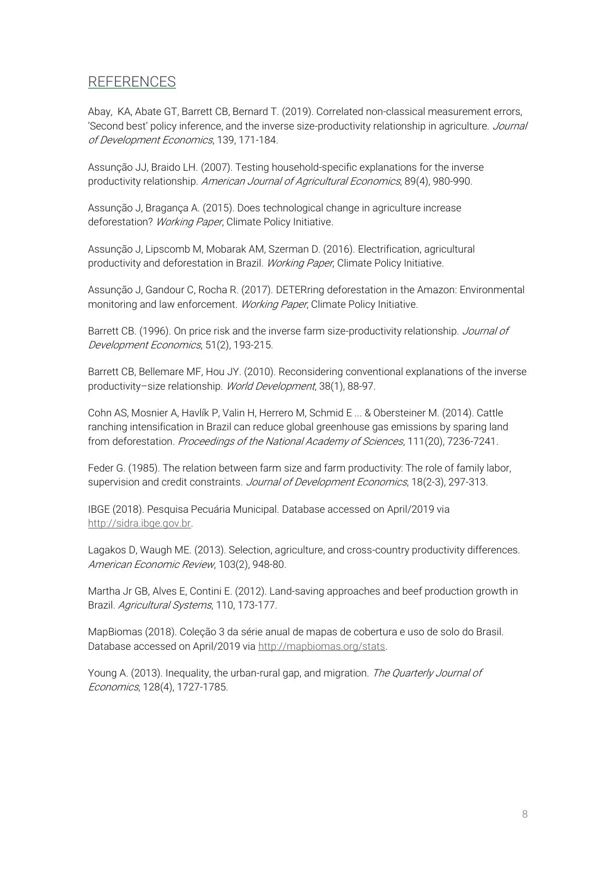### REFERENCES

Abay, KA, Abate GT, Barrett CB, Bernard T. (2019). Correlated non-classical measurement errors, 'Second best' policy inference, and the inverse size-productivity relationship in agriculture. Journal of Development Economics, 139, 171-184.

Assunção JJ, Braido LH. (2007). Testing household-specific explanations for the inverse productivity relationship. American Journal of Agricultural Economics, 89(4), 980-990.

Assunção J, Bragança A. (2015). Does technological change in agriculture increase deforestation? Working Paper, Climate Policy Initiative.

Assunção J, Lipscomb M, Mobarak AM, Szerman D. (2016). Electrification, agricultural productivity and deforestation in Brazil. Working Paper, Climate Policy Initiative.

Assunção J, Gandour C, Rocha R. (2017). DETERring deforestation in the Amazon: Environmental monitoring and law enforcement. Working Paper, Climate Policy Initiative.

Barrett CB. (1996). On price risk and the inverse farm size-productivity relationship. Journal of Development Economics, 51(2), 193-215.

Barrett CB, Bellemare MF, Hou JY. (2010). Reconsidering conventional explanations of the inverse productivity-size relationship. World Development, 38(1), 88-97.

Cohn AS, Mosnier A, Havlík P, Valin H, Herrero M, Schmid E ... & Obersteiner M. (2014). Cattle ranching intensification in Brazil can reduce global greenhouse gas emissions by sparing land from deforestation. Proceedings of the National Academy of Sciences, 111(20), 7236-7241.

Feder G. (1985). The relation between farm size and farm productivity: The role of family labor, supervision and credit constraints. Journal of Development Economics, 18(2-3), 297-313.

IBGE (2018). Pesquisa Pecuária Municipal. Database accessed on April/2019 via [http://sidra.ibge.gov.br.](http://sidra.ibge.gov.br/)

Lagakos D, Waugh ME. (2013). Selection, agriculture, and cross-country productivity differences. American Economic Review, 103(2), 948-80.

Martha Jr GB, Alves E, Contini E. (2012). Land-saving approaches and beef production growth in Brazil. Agricultural Systems, 110, 173-177.

MapBiomas (2018). Coleção 3 da série anual de mapas de cobertura e uso de solo do Brasil. Database accessed on April/2019 via [http://mapbiomas.org/stats.](http://mapbiomas.org/stats)

Young A. (2013). Inequality, the urban-rural gap, and migration. The Quarterly Journal of Economics, 128(4), 1727-1785.